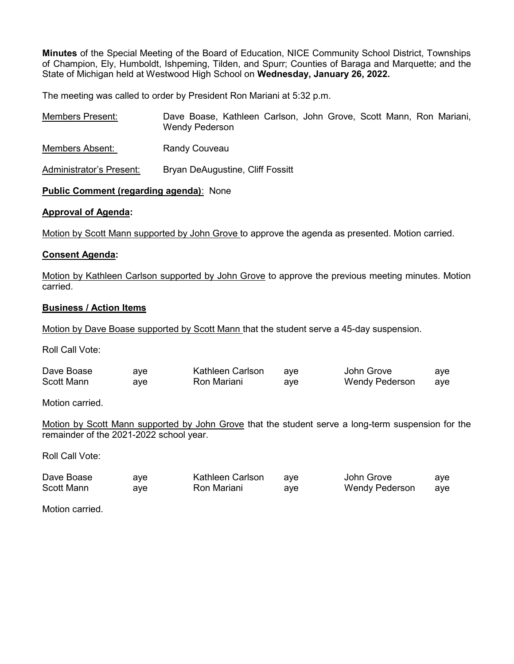Minutes of the Special Meeting of the Board of Education, NICE Community School District, Townships of Champion, Ely, Humboldt, Ishpeming, Tilden, and Spurr; Counties of Baraga and Marquette; and the State of Michigan held at Westwood High School on Wednesday, January 26, 2022.

The meeting was called to order by President Ron Mariani at 5:32 p.m.

| <b>Members Present:</b>  | Dave Boase, Kathleen Carlson, John Grove, Scott Mann, Ron Mariani,<br>Wendy Pederson |
|--------------------------|--------------------------------------------------------------------------------------|
| Members Absent:          | <b>Randy Couveau</b>                                                                 |
| Administrator's Present: | Bryan DeAugustine, Cliff Fossitt                                                     |

# Public Comment (regarding agenda): None

### Approval of Agenda:

Motion by Scott Mann supported by John Grove to approve the agenda as presented. Motion carried.

### Consent Agenda:

Motion by Kathleen Carlson supported by John Grove to approve the previous meeting minutes. Motion carried.

#### Business / Action Items

Motion by Dave Boase supported by Scott Mann that the student serve a 45-day suspension.

Roll Call Vote:

| Dave Boase        | aye | Kathleen Carlson | ave | John Grove            | aye |
|-------------------|-----|------------------|-----|-----------------------|-----|
| <b>Scott Mann</b> | ave | Ron Mariani      | ave | <b>Wendy Pederson</b> | aye |

Motion carried.

Motion by Scott Mann supported by John Grove that the student serve a long-term suspension for the remainder of the 2021-2022 school year.

Roll Call Vote:

| Dave Boase        | ave | Kathleen Carlson | ave | John Grove            | aye |
|-------------------|-----|------------------|-----|-----------------------|-----|
| <b>Scott Mann</b> | ave | Ron Mariani      | ave | <b>Wendy Pederson</b> | aye |

Motion carried.